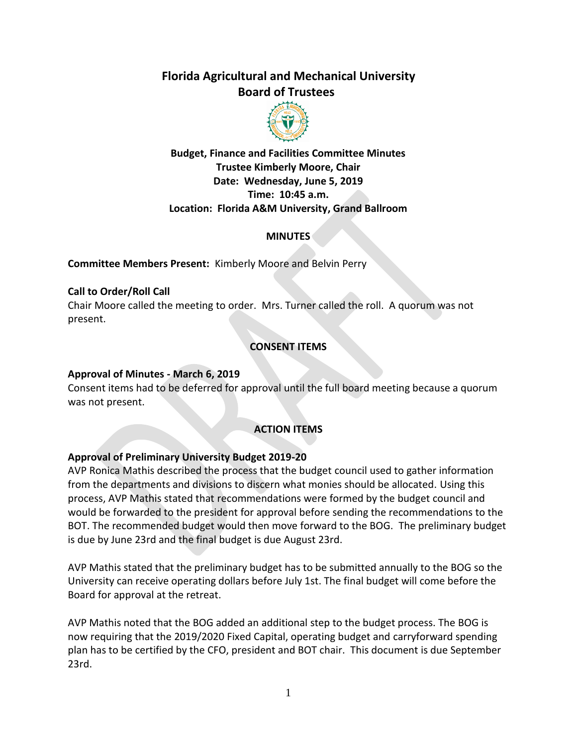# **Florida Agricultural and Mechanical University Board of Trustees**



**Budget, Finance and Facilities Committee Minutes Trustee Kimberly Moore, Chair Date: Wednesday, June 5, 2019 Time: 10:45 a.m. Location: Florida A&M University, Grand Ballroom**

#### **MINUTES**

**Committee Members Present:** Kimberly Moore and Belvin Perry

#### **Call to Order/Roll Call**

Chair Moore called the meeting to order. Mrs. Turner called the roll. A quorum was not present.

# **CONSENT ITEMS**

#### **Approval of Minutes - March 6, 2019**

Consent items had to be deferred for approval until the full board meeting because a quorum was not present.

# **ACTION ITEMS**

#### **Approval of Preliminary University Budget 2019-20**

AVP Ronica Mathis described the process that the budget council used to gather information from the departments and divisions to discern what monies should be allocated. Using this process, AVP Mathis stated that recommendations were formed by the budget council and would be forwarded to the president for approval before sending the recommendations to the BOT. The recommended budget would then move forward to the BOG. The preliminary budget is due by June 23rd and the final budget is due August 23rd.

AVP Mathis stated that the preliminary budget has to be submitted annually to the BOG so the University can receive operating dollars before July 1st. The final budget will come before the Board for approval at the retreat.

AVP Mathis noted that the BOG added an additional step to the budget process. The BOG is now requiring that the 2019/2020 Fixed Capital, operating budget and carryforward spending plan has to be certified by the CFO, president and BOT chair. This document is due September 23rd.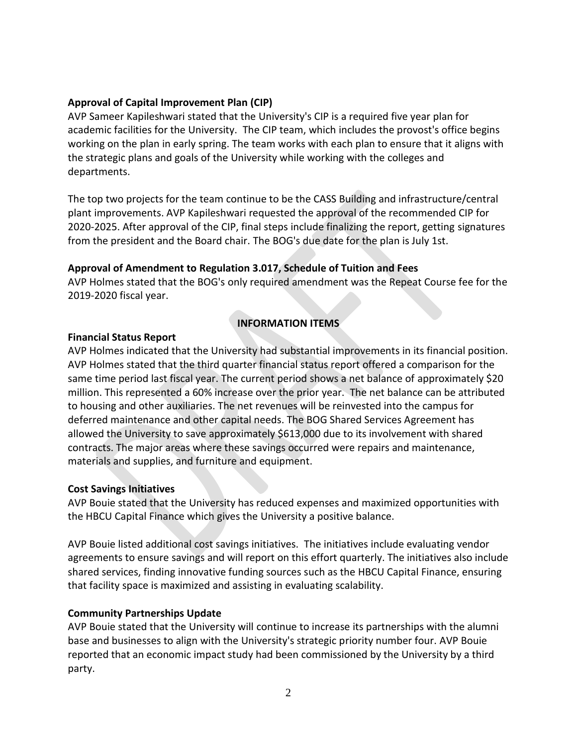#### **Approval of Capital Improvement Plan (CIP)**

AVP Sameer Kapileshwari stated that the University's CIP is a required five year plan for academic facilities for the University. The CIP team, which includes the provost's office begins working on the plan in early spring. The team works with each plan to ensure that it aligns with the strategic plans and goals of the University while working with the colleges and departments.

The top two projects for the team continue to be the CASS Building and infrastructure/central plant improvements. AVP Kapileshwari requested the approval of the recommended CIP for 2020-2025. After approval of the CIP, final steps include finalizing the report, getting signatures from the president and the Board chair. The BOG's due date for the plan is July 1st.

# **Approval of Amendment to Regulation 3.017, Schedule of Tuition and Fees**

AVP Holmes stated that the BOG's only required amendment was the Repeat Course fee for the 2019-2020 fiscal year.

# **INFORMATION ITEMS**

#### **Financial Status Report**

AVP Holmes indicated that the University had substantial improvements in its financial position. AVP Holmes stated that the third quarter financial status report offered a comparison for the same time period last fiscal year. The current period shows a net balance of approximately \$20 million. This represented a 60% increase over the prior year. The net balance can be attributed to housing and other auxiliaries. The net revenues will be reinvested into the campus for deferred maintenance and other capital needs. The BOG Shared Services Agreement has allowed the University to save approximately \$613,000 due to its involvement with shared contracts. The major areas where these savings occurred were repairs and maintenance, materials and supplies, and furniture and equipment.

# **Cost Savings Initiatives**

AVP Bouie stated that the University has reduced expenses and maximized opportunities with the HBCU Capital Finance which gives the University a positive balance.

AVP Bouie listed additional cost savings initiatives. The initiatives include evaluating vendor agreements to ensure savings and will report on this effort quarterly. The initiatives also include shared services, finding innovative funding sources such as the HBCU Capital Finance, ensuring that facility space is maximized and assisting in evaluating scalability.

# **Community Partnerships Update**

AVP Bouie stated that the University will continue to increase its partnerships with the alumni base and businesses to align with the University's strategic priority number four. AVP Bouie reported that an economic impact study had been commissioned by the University by a third party.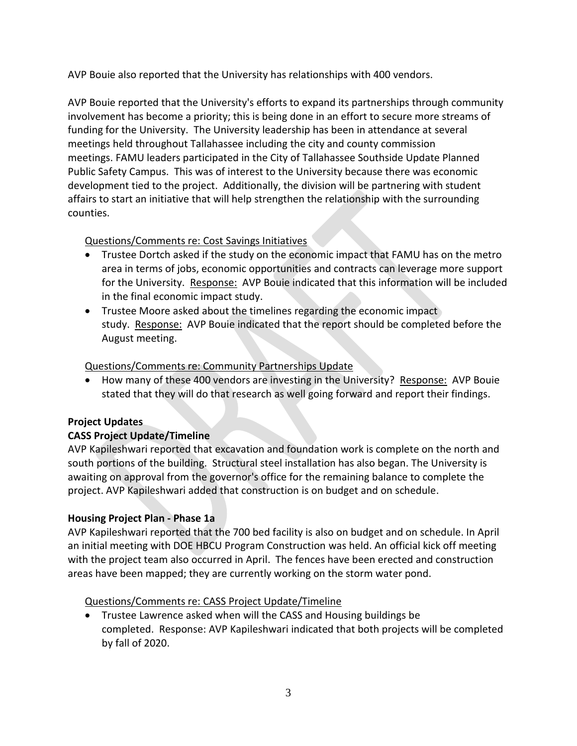AVP Bouie also reported that the University has relationships with 400 vendors.

AVP Bouie reported that the University's efforts to expand its partnerships through community involvement has become a priority; this is being done in an effort to secure more streams of funding for the University. The University leadership has been in attendance at several meetings held throughout Tallahassee including the city and county commission meetings. FAMU leaders participated in the City of Tallahassee Southside Update Planned Public Safety Campus. This was of interest to the University because there was economic development tied to the project. Additionally, the division will be partnering with student affairs to start an initiative that will help strengthen the relationship with the surrounding counties.

# Questions/Comments re: Cost Savings Initiatives

- Trustee Dortch asked if the study on the economic impact that FAMU has on the metro area in terms of jobs, economic opportunities and contracts can leverage more support for the University. Response: AVP Bouie indicated that this information will be included in the final economic impact study.
- Trustee Moore asked about the timelines regarding the economic impact study. Response: AVP Bouie indicated that the report should be completed before the August meeting.

# Questions/Comments re: Community Partnerships Update

 How many of these 400 vendors are investing in the University? Response: AVP Bouie stated that they will do that research as well going forward and report their findings.

# **Project Updates**

# **CASS Project Update/Timeline**

AVP Kapileshwari reported that excavation and foundation work is complete on the north and south portions of the building. Structural steel installation has also began. The University is awaiting on approval from the governor's office for the remaining balance to complete the project. AVP Kapileshwari added that construction is on budget and on schedule.

# **Housing Project Plan - Phase 1a**

AVP Kapileshwari reported that the 700 bed facility is also on budget and on schedule. In April an initial meeting with DOE HBCU Program Construction was held. An official kick off meeting with the project team also occurred in April. The fences have been erected and construction areas have been mapped; they are currently working on the storm water pond.

# Questions/Comments re: CASS Project Update/Timeline

 Trustee Lawrence asked when will the CASS and Housing buildings be completed. Response: AVP Kapileshwari indicated that both projects will be completed by fall of 2020.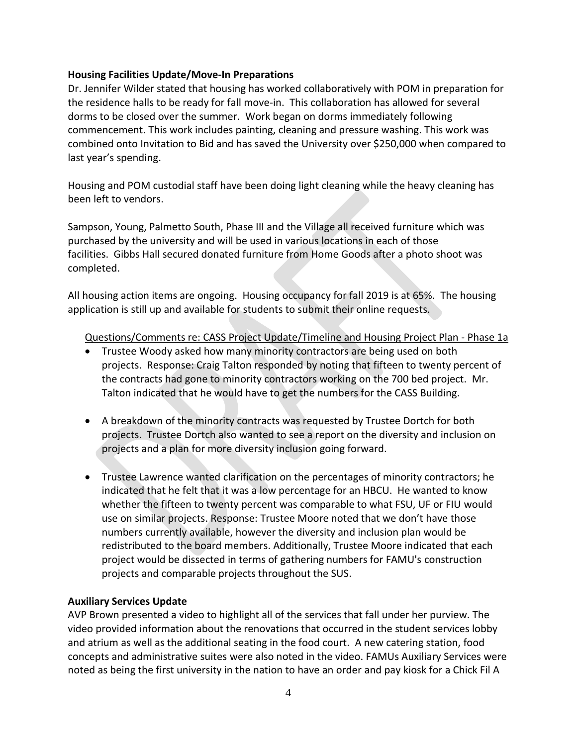#### **Housing Facilities Update/Move-In Preparations**

Dr. Jennifer Wilder stated that housing has worked collaboratively with POM in preparation for the residence halls to be ready for fall move-in. This collaboration has allowed for several dorms to be closed over the summer. Work began on dorms immediately following commencement. This work includes painting, cleaning and pressure washing. This work was combined onto Invitation to Bid and has saved the University over \$250,000 when compared to last year's spending.

Housing and POM custodial staff have been doing light cleaning while the heavy cleaning has been left to vendors.

Sampson, Young, Palmetto South, Phase III and the Village all received furniture which was purchased by the university and will be used in various locations in each of those facilities. Gibbs Hall secured donated furniture from Home Goods after a photo shoot was completed.

All housing action items are ongoing. Housing occupancy for fall 2019 is at 65%. The housing application is still up and available for students to submit their online requests.

Questions/Comments re: CASS Project Update/Timeline and Housing Project Plan - Phase 1a

- Trustee Woody asked how many minority contractors are being used on both projects. Response: Craig Talton responded by noting that fifteen to twenty percent of the contracts had gone to minority contractors working on the 700 bed project. Mr. Talton indicated that he would have to get the numbers for the CASS Building.
- A breakdown of the minority contracts was requested by Trustee Dortch for both projects. Trustee Dortch also wanted to see a report on the diversity and inclusion on projects and a plan for more diversity inclusion going forward.
- Trustee Lawrence wanted clarification on the percentages of minority contractors; he indicated that he felt that it was a low percentage for an HBCU. He wanted to know whether the fifteen to twenty percent was comparable to what FSU, UF or FIU would use on similar projects. Response: Trustee Moore noted that we don't have those numbers currently available, however the diversity and inclusion plan would be redistributed to the board members. Additionally, Trustee Moore indicated that each project would be dissected in terms of gathering numbers for FAMU's construction projects and comparable projects throughout the SUS.

# **Auxiliary Services Update**

AVP Brown presented a video to highlight all of the services that fall under her purview. The video provided information about the renovations that occurred in the student services lobby and atrium as well as the additional seating in the food court. A new catering station, food concepts and administrative suites were also noted in the video. FAMUs Auxiliary Services were noted as being the first university in the nation to have an order and pay kiosk for a Chick Fil A